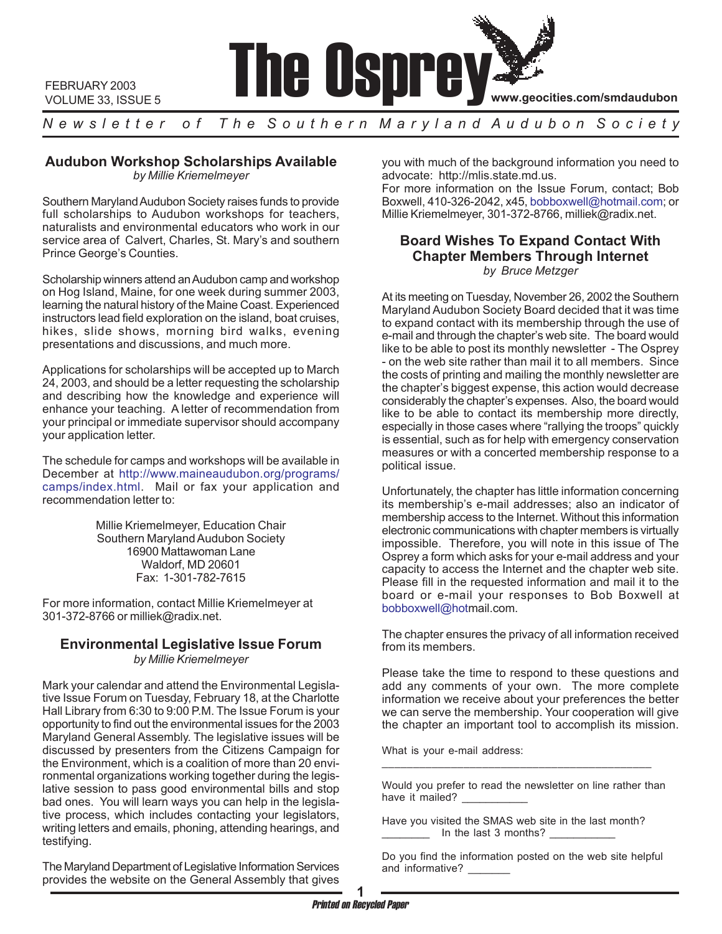

*N e w s l e t t e r o f T h e S o u t h e r n M a r y l a n d A u d u b o n S o c i e t y*

# **Audubon Workshop Scholarships Available**

*by Millie Kriemelmeyer*

Southern Maryland Audubon Society raises funds to provide full scholarships to Audubon workshops for teachers, naturalists and environmental educators who work in our service area of Calvert, Charles, St. Mary's and southern Prince George's Counties.

Scholarship winners attend an Audubon camp and workshop on Hog Island, Maine, for one week during summer 2003, learning the natural history of the Maine Coast. Experienced instructors lead field exploration on the island, boat cruises, hikes, slide shows, morning bird walks, evening presentations and discussions, and much more.

Applications for scholarships will be accepted up to March 24, 2003, and should be a letter requesting the scholarship and describing how the knowledge and experience will enhance your teaching. A letter of recommendation from your principal or immediate supervisor should accompany your application letter.

The schedule for camps and workshops will be available in December at http://www.maineaudubon.org/programs/ camps/index.html. Mail or fax your application and recommendation letter to:

> Millie Kriemelmeyer, Education Chair Southern Maryland Audubon Society 16900 Mattawoman Lane Waldorf, MD 20601 Fax: 1-301-782-7615

For more information, contact Millie Kriemelmeyer at 301-372-8766 or milliek@radix.net.

# **Environmental Legislative Issue Forum**

*by Millie Kriemelmeyer*

Mark your calendar and attend the Environmental Legislative Issue Forum on Tuesday, February 18, at the Charlotte Hall Library from 6:30 to 9:00 P.M. The Issue Forum is your opportunity to find out the environmental issues for the 2003 Maryland General Assembly. The legislative issues will be discussed by presenters from the Citizens Campaign for the Environment, which is a coalition of more than 20 environmental organizations working together during the legislative session to pass good environmental bills and stop bad ones. You will learn ways you can help in the legislative process, which includes contacting your legislators, writing letters and emails, phoning, attending hearings, and testifying.

The Maryland Department of Legislative Information Services provides the website on the General Assembly that gives

you with much of the background information you need to advocate: http://mlis.state.md.us.

For more information on the Issue Forum, contact; Bob Boxwell, 410-326-2042, x45, bobboxwell@hotmail.com; or Millie Kriemelmeyer, 301-372-8766, milliek@radix.net.

# **Board Wishes To Expand Contact With Chapter Members Through Internet** *by Bruce Metzger*

At its meeting on Tuesday, November 26, 2002 the Southern Maryland Audubon Society Board decided that it was time to expand contact with its membership through the use of e-mail and through the chapter's web site. The board would like to be able to post its monthly newsletter - The Osprey - on the web site rather than mail it to all members. Since the costs of printing and mailing the monthly newsletter are the chapter's biggest expense, this action would decrease considerably the chapter's expenses. Also, the board would like to be able to contact its membership more directly, especially in those cases where "rallying the troops" quickly is essential, such as for help with emergency conservation measures or with a concerted membership response to a political issue.

Unfortunately, the chapter has little information concerning its membership's e-mail addresses; also an indicator of membership access to the Internet. Without this information electronic communications with chapter members is virtually impossible. Therefore, you will note in this issue of The Osprey a form which asks for your e-mail address and your capacity to access the Internet and the chapter web site. Please fill in the requested information and mail it to the board or e-mail your responses to Bob Boxwell at bobboxwell@hotmail.com.

The chapter ensures the privacy of all information received from its members.

Please take the time to respond to these questions and add any comments of your own. The more complete information we receive about your preferences the better we can serve the membership. Your cooperation will give the chapter an important tool to accomplish its mission.

What is your e-mail address:

Would you prefer to read the newsletter on line rather than have it mailed?

\_\_\_\_\_\_\_\_\_\_\_\_\_\_\_\_\_\_\_\_\_\_\_\_\_\_\_\_\_\_\_\_\_\_\_\_\_\_\_\_\_\_\_

Have you visited the SMAS web site in the last month?  $\Box$  In the last 3 months?  $\Box$ 

Do you find the information posted on the web site helpful and informative?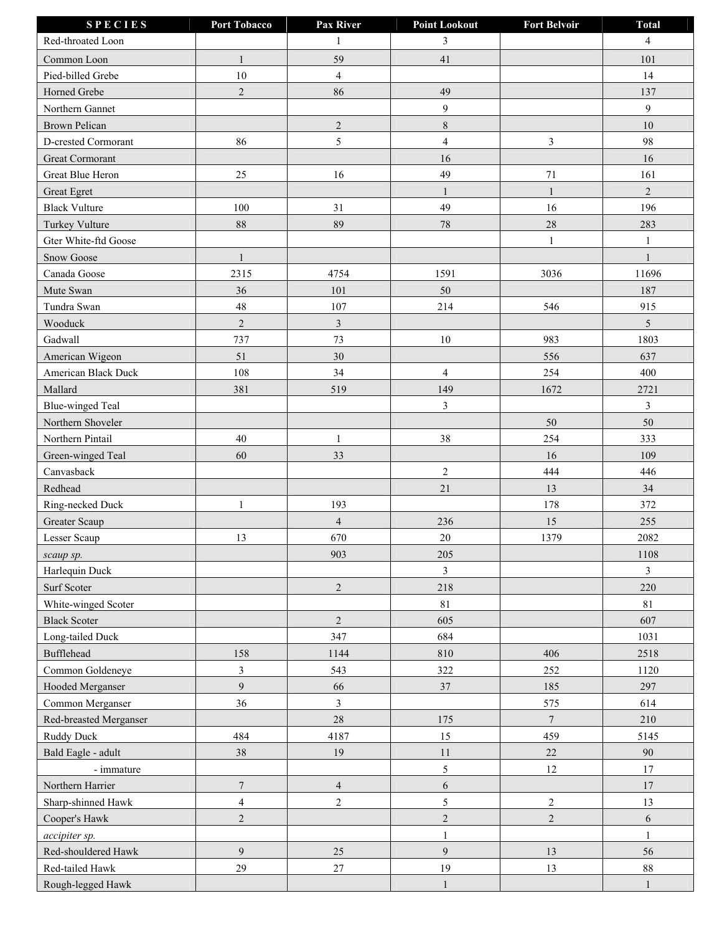| <b>SPECIES</b>          | <b>Port Tobacco</b>     | Pax River      | <b>Point Lookout</b>    | <b>Fort Belvoir</b> | <b>Total</b>            |
|-------------------------|-------------------------|----------------|-------------------------|---------------------|-------------------------|
| Red-throated Loon       |                         | $\mathbf{1}$   | $\mathfrak{Z}$          |                     | $\overline{4}$          |
| Common Loon             | $\mathbf{1}$            | 59             | 41                      |                     | 101                     |
| Pied-billed Grebe       | 10                      | $\overline{4}$ |                         |                     | 14                      |
| Horned Grebe            | $\overline{2}$          | 86             | 49                      |                     | 137                     |
| Northern Gannet         |                         |                | $\boldsymbol{9}$        |                     | 9                       |
| <b>Brown Pelican</b>    |                         | $\overline{c}$ | $\,8\,$                 |                     | 10                      |
| D-crested Cormorant     | 86                      | 5              | $\overline{4}$          | 3                   | 98                      |
| Great Cormorant         |                         |                | 16                      |                     | 16                      |
| Great Blue Heron        | $25\,$                  | 16             | 49                      | 71                  | 161                     |
| Great Egret             |                         |                | $\mathbf{1}$            | $\mathbf{1}$        | $\overline{2}$          |
| <b>Black Vulture</b>    | 100                     | 31             | 49                      | 16                  | 196                     |
| Turkey Vulture          | 88                      | 89             | $78\,$                  | 28                  | 283                     |
| Gter White-ftd Goose    |                         |                |                         | $\mathbf{1}$        | $\mathbf{1}$            |
| Snow Goose              | $\mathbf{1}$            |                |                         |                     | $\mathbf{1}$            |
| Canada Goose            | 2315                    | 4754           | 1591                    | 3036                | 11696                   |
| Mute Swan               | 36                      | 101            | 50                      |                     | 187                     |
| Tundra Swan             | 48                      | 107            | 214                     | 546                 | 915                     |
| Wooduck                 | $\overline{c}$          | $\mathfrak{Z}$ |                         |                     | $\mathfrak{S}$          |
| Gadwall                 | 737                     | 73             | 10                      | 983                 | 1803                    |
| American Wigeon         | 51                      | 30             |                         | 556                 | 637                     |
| American Black Duck     | 108                     | 34             | $\overline{\mathbf{4}}$ | 254                 | 400                     |
| Mallard                 | 381                     | 519            | 149                     | 1672                | 2721                    |
| <b>Blue-winged Teal</b> |                         |                | $\mathfrak{Z}$          |                     | $\overline{\mathbf{3}}$ |
| Northern Shoveler       |                         |                |                         | 50                  | 50                      |
| Northern Pintail        | 40                      | $\mathbf{1}$   | 38                      | 254                 | 333                     |
| Green-winged Teal       | 60                      | 33             |                         | 16                  | 109                     |
| Canvasback              |                         |                | $\sqrt{2}$              | 444                 | 446                     |
| Redhead                 |                         |                | 21                      | 13                  | 34                      |
| Ring-necked Duck        | $\mathbf{1}$            | 193            |                         | 178                 | 372                     |
| Greater Scaup           |                         | $\overline{4}$ | 236                     | 15                  | 255                     |
| Lesser Scaup            | 13                      | 670            | $20\,$                  | 1379                | 2082                    |
| scaup sp.               |                         | 903            | 205                     |                     | 1108                    |
| Harlequin Duck          |                         |                | $\mathfrak{Z}$          |                     | $\mathfrak{Z}$          |
| Surf Scoter             |                         | $\overline{c}$ | 218                     |                     | 220                     |
| White-winged Scoter     |                         |                | 81                      |                     | 81                      |
| <b>Black Scoter</b>     |                         | $\overline{c}$ | 605                     |                     | 607                     |
| Long-tailed Duck        |                         | 347            | 684                     |                     | 1031                    |
| Bufflehead              | 158                     | 1144           | 810                     | 406                 | 2518                    |
| Common Goldeneye        | $\overline{\mathbf{3}}$ | 543            | 322                     | 252                 | 1120                    |
| Hooded Merganser        | 9                       | 66             | $37\,$                  | 185                 | 297                     |
| Common Merganser        | 36                      | $\overline{3}$ |                         | 575                 | 614                     |
| Red-breasted Merganser  |                         | $28\,$         | 175                     | $\boldsymbol{7}$    | 210                     |
| <b>Ruddy Duck</b>       | 484                     | 4187           | 15                      | 459                 | 5145                    |
| Bald Eagle - adult      | 38                      | 19             | 11                      | $22\,$              | 90                      |
| - immature              |                         |                | $\sqrt{5}$              | $12\,$              | $17\,$                  |
| Northern Harrier        | $\tau$                  | $\overline{4}$ | $\sqrt{6}$              |                     | 17                      |
| Sharp-shinned Hawk      | $\overline{\mathbf{4}}$ | $\overline{c}$ | 5                       | $\sqrt{2}$          | 13                      |
| Cooper's Hawk           | $\overline{c}$          |                | $\sqrt{2}$              | $\sqrt{2}$          | $\sqrt{6}$              |
| accipiter sp.           |                         |                | $\,1$                   |                     | $\mathbf{1}$            |
| Red-shouldered Hawk     | $\mathbf{9}$            | 25             | $\boldsymbol{9}$        | 13                  | 56                      |
| Red-tailed Hawk         | 29                      | $27\,$         | 19                      | 13                  | $88\,$                  |
| Rough-legged Hawk       |                         |                | $\mathbf{1}$            |                     | 1                       |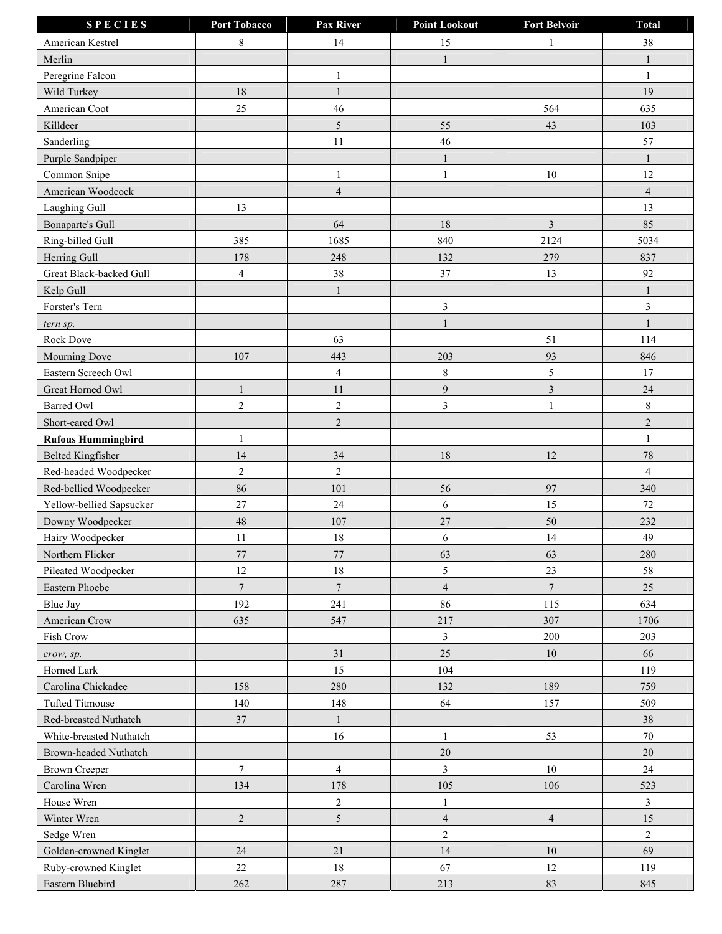| <b>SPECIES</b>            | <b>Port Tobacco</b> | Pax River      | <b>Point Lookout</b>    | <b>Fort Belvoir</b> | <b>Total</b>            |
|---------------------------|---------------------|----------------|-------------------------|---------------------|-------------------------|
| American Kestrel          | 8                   | 14             | 15                      | -1                  | 38                      |
| Merlin                    |                     |                | $\,1\,$                 |                     | $\mathbf{1}$            |
| Peregrine Falcon          |                     | $\mathbf{1}$   |                         |                     | $\mathbf{1}$            |
| Wild Turkey               | 18                  | 1              |                         |                     | 19                      |
| American Coot             | 25                  | 46             |                         | 564                 | 635                     |
| Killdeer                  |                     | 5              | 55                      | 43                  | 103                     |
| Sanderling                |                     | 11             | 46                      |                     | 57                      |
| Purple Sandpiper          |                     |                | $\mathbf{1}$            |                     | $\mathbf{1}$            |
| Common Snipe              |                     | $\mathbf{1}$   | $\mathbf{1}$            | 10                  | 12                      |
| American Woodcock         |                     | $\overline{4}$ |                         |                     | $\overline{4}$          |
| Laughing Gull             | 13                  |                |                         |                     | 13                      |
| <b>Bonaparte's Gull</b>   |                     | 64             | 18                      | $\overline{3}$      | 85                      |
| Ring-billed Gull          | 385                 | 1685           | 840                     | 2124                | 5034                    |
|                           | 178                 | 248            | 132                     | 279                 | 837                     |
| Herring Gull              |                     |                |                         |                     |                         |
| Great Black-backed Gull   | $\overline{4}$      | 38             | 37                      | 13                  | 92                      |
| Kelp Gull                 |                     | $\mathbf{1}$   |                         |                     | $\mathbf{1}$            |
| Forster's Tern            |                     |                | $\mathfrak{Z}$          |                     | $\overline{\mathbf{3}}$ |
| tern sp.                  |                     |                | $\mathbf{1}$            |                     | $\mathbf{1}$            |
| Rock Dove                 |                     | 63             |                         | 51                  | 114                     |
| Mourning Dove             | 107                 | 443            | 203                     | 93                  | 846                     |
| Eastern Screech Owl       |                     | $\overline{4}$ | $\,$ 8 $\,$             | 5                   | 17                      |
| Great Horned Owl          | 1                   | 11             | $\overline{9}$          | $\mathfrak{Z}$      | 24                      |
| <b>Barred Owl</b>         | $\overline{2}$      | $\overline{c}$ | $\overline{\mathbf{3}}$ | $\mathbf{1}$        | $8\,$                   |
| Short-eared Owl           |                     | $\overline{2}$ |                         |                     | $\overline{2}$          |
| <b>Rufous Hummingbird</b> | $\mathbf{1}$        |                |                         |                     | $\mathbf{1}$            |
| Belted Kingfisher         | 14                  | 34             | 18                      | 12                  | $78\,$                  |
| Red-headed Woodpecker     | $\overline{2}$      | $\overline{c}$ |                         |                     | $\overline{4}$          |
| Red-bellied Woodpecker    | 86                  | 101            | 56                      | 97                  | 340                     |
| Yellow-bellied Sapsucker  | 27                  | 24             | 6                       | 15                  | $72\,$                  |
| Downy Woodpecker          | 48                  | 107            | 27                      | 50                  | 232                     |
| Hairy Woodpecker          | 11                  | 18             | $\sqrt{6}$              | 14                  | 49                      |
| Northern Flicker          | 77                  | $77 \,$        | 63                      | 63                  | 280                     |
| Pileated Woodpecker       | 12                  | 18             | 5                       | 23                  | 58                      |
| Eastern Phoebe            | $7\phantom{.0}$     | $\overline{7}$ | $\overline{4}$          | $\overline{7}$      | 25                      |
| Blue Jay                  | 192                 | 241            | 86                      | 115                 | 634                     |
| American Crow             | 635                 | 547            | 217                     | 307                 | 1706                    |
| Fish Crow                 |                     |                | $\mathfrak{Z}$          | 200                 | 203                     |
| crow, sp.                 |                     | 31             | $25\,$                  | $10\,$              | 66                      |
| Horned Lark               |                     | 15             | 104                     |                     | 119                     |
| Carolina Chickadee        | 158                 | 280            | 132                     | 189                 | 759                     |
| <b>Tufted Titmouse</b>    | 140                 | 148            | 64                      | 157                 | 509                     |
| Red-breasted Nuthatch     | 37                  | $\mathbf{1}$   |                         |                     | 38                      |
| White-breasted Nuthatch   |                     | 16             | $\mathbf{1}$            | 53                  | 70                      |
| Brown-headed Nuthatch     |                     |                | $20\,$                  |                     | $20\,$                  |
| <b>Brown Creeper</b>      | $\boldsymbol{7}$    | $\overline{4}$ | 3                       | $10\,$              | 24                      |
| Carolina Wren             | 134                 | 178            | 105                     | 106                 | 523                     |
| House Wren                |                     | $\overline{c}$ | $\,1$                   |                     | $\overline{3}$          |
| Winter Wren               | $\overline{2}$      | 5              | $\sqrt{4}$              | $\overline{4}$      | 15                      |
| Sedge Wren                |                     |                | $\overline{c}$          |                     | $\overline{c}$          |
| Golden-crowned Kinglet    | 24                  | 21             | 14                      | $10\,$              | 69                      |
| Ruby-crowned Kinglet      | 22                  | $18\,$         | 67                      | 12                  | 119                     |
| Eastern Bluebird          | 262                 | $287\,$        | 213                     | 83                  | 845                     |
|                           |                     |                |                         |                     |                         |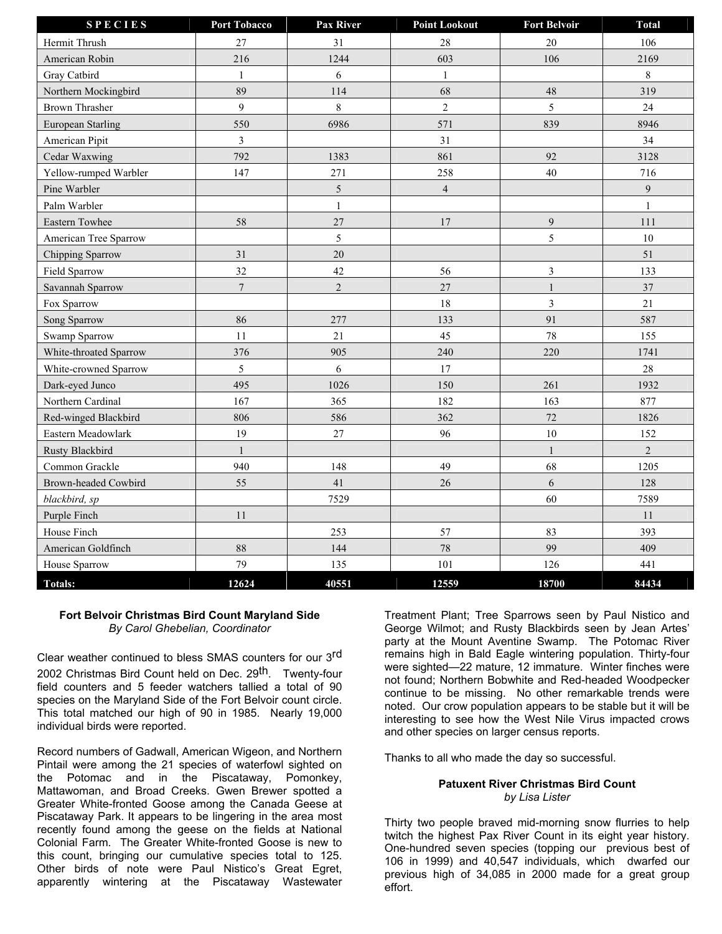| <b>SPECIES</b>              | <b>Port Tobacco</b> | Pax River      | <b>Point Lookout</b> | <b>Fort Belvoir</b> | <b>Total</b>   |
|-----------------------------|---------------------|----------------|----------------------|---------------------|----------------|
| Hermit Thrush               | 27                  | 31             | 28                   | 20                  | 106            |
| American Robin              | 216                 | 1244           | 603                  | 106                 | 2169           |
| Gray Catbird                | $\mathbf{1}$        | 6              | $\mathbf{1}$         |                     | 8              |
| Northern Mockingbird        | 89                  | 114            | 68                   | 48                  | 319            |
| <b>Brown Thrasher</b>       | 9                   | $\,$ 8 $\,$    | $\sqrt{2}$           | 5                   | 24             |
| <b>European Starling</b>    | 550                 | 6986           | 571                  | 839                 |                |
| American Pipit              | $\overline{3}$      |                | 31                   |                     | 34             |
| Cedar Waxwing               | 792                 | 1383           | 861                  | 92                  | 3128           |
| Yellow-rumped Warbler       | 147                 | 271            | 258                  | $40\,$              | 716            |
| Pine Warbler                |                     | 5              | $\sqrt{4}$           |                     | 9              |
| Palm Warbler                |                     | $\mathbf{1}$   |                      |                     | $\mathbf{1}$   |
| Eastern Towhee              | 58                  | 27             | 17                   | 9                   | 111            |
| American Tree Sparrow       |                     | 5              |                      | 5                   | $10\,$         |
| Chipping Sparrow            | 31                  | 20             |                      |                     | 51             |
| Field Sparrow               | 32                  | 42             | 56                   | $\mathfrak{Z}$      | 133            |
| Savannah Sparrow            | $\boldsymbol{7}$    | $\overline{c}$ | 27                   | $\,1\,$             | $37\,$         |
| Fox Sparrow                 |                     |                | 18                   | $\mathfrak{Z}$      | 21             |
| Song Sparrow                | 86                  | 277            | 133                  | 91                  | 587            |
| Swamp Sparrow               | 11                  | 21             | 45                   | $78\,$              | 155            |
| White-throated Sparrow      | 376                 | 905            | 240                  | 220                 | 1741           |
| White-crowned Sparrow       | 5                   | 6              | 17                   |                     | 28             |
| Dark-eyed Junco             | 495                 | 1026           | 150                  | 261                 | 1932           |
| Northern Cardinal           | 167                 | 365            | 182                  | 163                 | 877            |
| Red-winged Blackbird        | 806                 | 586            | 362                  | 72                  | 1826           |
| Eastern Meadowlark          | 19                  | $27\,$         | 96                   | $10\,$              | 152            |
| Rusty Blackbird             | $\mathbf{1}$        |                |                      | $\,1\,$             | $\overline{c}$ |
| Common Grackle              | 940                 | 148            | 49                   | 68                  | 1205           |
| <b>Brown-headed Cowbird</b> | 55                  | 41             | 26                   | 6                   | 128            |
| blackbird, sp               |                     | 7529           |                      | 60                  | 7589           |
| Purple Finch                | 11                  |                |                      |                     | 11             |
| House Finch                 |                     | 253            | 57                   | 83                  | 393            |
| American Goldfinch          | 88                  | 144            | 78                   | 99                  | 409            |
| House Sparrow               | 79                  | 135            | 101                  | 126                 | 441            |
| <b>Totals:</b>              | 12624               | 40551          | 12559                | 18700               | 84434          |

#### **Fort Belvoir Christmas Bird Count Maryland Side** *By Carol Ghebelian, Coordinator*

Clear weather continued to bless SMAS counters for our 3rd 2002 Christmas Bird Count held on Dec. 29<sup>th</sup>. Twenty-four field counters and 5 feeder watchers tallied a total of 90 species on the Maryland Side of the Fort Belvoir count circle. This total matched our high of 90 in 1985. Nearly 19,000 individual birds were reported.

Record numbers of Gadwall, American Wigeon, and Northern Pintail were among the 21 species of waterfowl sighted on the Potomac and in the Piscataway, Pomonkey, Mattawoman, and Broad Creeks. Gwen Brewer spotted a Greater White-fronted Goose among the Canada Geese at Piscataway Park. It appears to be lingering in the area most recently found among the geese on the fields at National Colonial Farm. The Greater White-fronted Goose is new to this count, bringing our cumulative species total to 125. Other birds of note were Paul Nistico's Great Egret, apparently wintering at the Piscataway Wastewater Treatment Plant; Tree Sparrows seen by Paul Nistico and George Wilmot; and Rusty Blackbirds seen by Jean Artes' party at the Mount Aventine Swamp. The Potomac River remains high in Bald Eagle wintering population. Thirty-four were sighted—22 mature, 12 immature. Winter finches were not found; Northern Bobwhite and Red-headed Woodpecker continue to be missing. No other remarkable trends were noted. Our crow population appears to be stable but it will be interesting to see how the West Nile Virus impacted crows and other species on larger census reports.

Thanks to all who made the day so successful.

### **Patuxent River Christmas Bird Count** *by Lisa Lister*

Thirty two people braved mid-morning snow flurries to help twitch the highest Pax River Count in its eight year history. One-hundred seven species (topping our previous best of 106 in 1999) and 40,547 individuals, which dwarfed our previous high of 34,085 in 2000 made for a great group effort.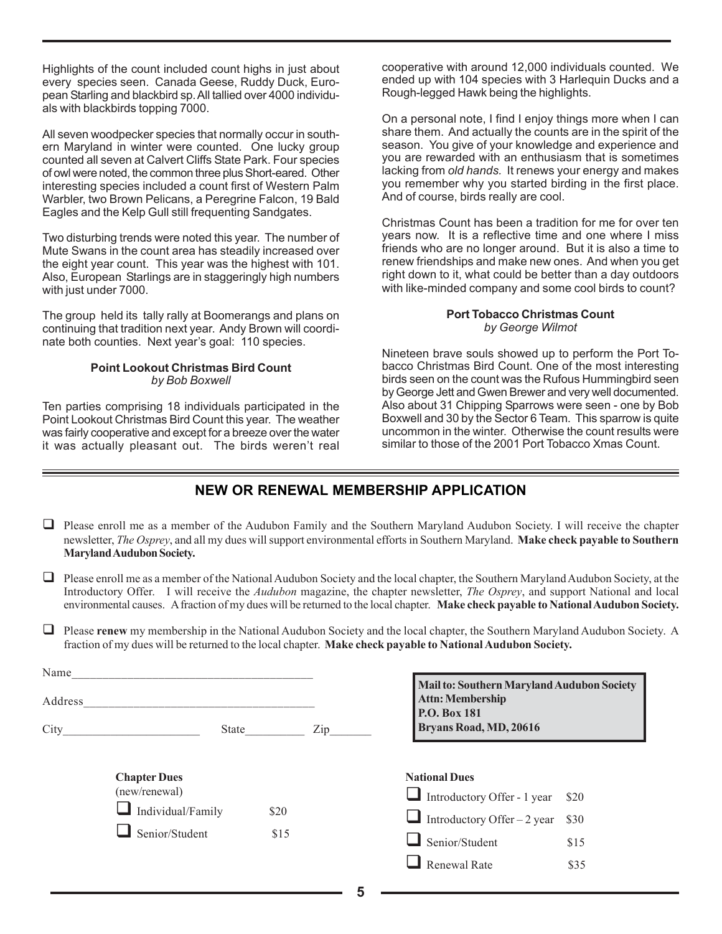Highlights of the count included count highs in just about every species seen. Canada Geese, Ruddy Duck, European Starling and blackbird sp. All tallied over 4000 individuals with blackbirds topping 7000.

All seven woodpecker species that normally occur in southern Maryland in winter were counted. One lucky group counted all seven at Calvert Cliffs State Park. Four species of owl were noted, the common three plus Short-eared. Other interesting species included a count first of Western Palm Warbler, two Brown Pelicans, a Peregrine Falcon, 19 Bald Eagles and the Kelp Gull still frequenting Sandgates.

Two disturbing trends were noted this year. The number of Mute Swans in the count area has steadily increased over the eight year count. This year was the highest with 101. Also, European Starlings are in staggeringly high numbers with just under 7000.

The group held its tally rally at Boomerangs and plans on continuing that tradition next year. Andy Brown will coordinate both counties. Next year's goal: 110 species.

### **Point Lookout Christmas Bird Count** *by Bob Boxwell*

Ten parties comprising 18 individuals participated in the Point Lookout Christmas Bird Count this year. The weather was fairly cooperative and except for a breeze over the water it was actually pleasant out. The birds weren't real cooperative with around 12,000 individuals counted. We ended up with 104 species with 3 Harlequin Ducks and a Rough-legged Hawk being the highlights.

On a personal note, I find I enjoy things more when I can share them. And actually the counts are in the spirit of the season. You give of your knowledge and experience and you are rewarded with an enthusiasm that is sometimes lacking from *old hands.* It renews your energy and makes you remember why you started birding in the first place. And of course, birds really are cool.

Christmas Count has been a tradition for me for over ten years now. It is a reflective time and one where I miss friends who are no longer around. But it is also a time to renew friendships and make new ones. And when you get right down to it, what could be better than a day outdoors with like-minded company and some cool birds to count?

## **Port Tobacco Christmas Count** *by George Wilmot*

Nineteen brave souls showed up to perform the Port Tobacco Christmas Bird Count. One of the most interesting birds seen on the count was the Rufous Hummingbird seen by George Jett and Gwen Brewer and very well documented. Also about 31 Chipping Sparrows were seen - one by Bob Boxwell and 30 by the Sector 6 Team. This sparrow is quite uncommon in the winter. Otherwise the count results were similar to those of the 2001 Port Tobacco Xmas Count.

# **NEW OR RENEWAL MEMBERSHIP APPLICATION**

- Please enroll me as a member of the Audubon Family and the Southern Maryland Audubon Society. I will receive the chapter newsletter, *The Osprey*, and all my dues will support environmental efforts in Southern Maryland. **Make check payable to Southern Maryland Audubon Society.**
- $\Box$  Please enroll me as a member of the National Audubon Society and the local chapter, the Southern Maryland Audubon Society, at the Introductory Offer.I will receive the *Audubon* magazine, the chapter newsletter, *The Osprey*, and support National and local environmental causes. A fraction of my dues will be returned to the local chapter. **Make check payable to National Audubon Society.**
- **Please renew** my membership in the National Audubon Society and the local chapter, the Southern Maryland Audubon Society. A fraction of my dues will be returned to the local chapter. **Make check payable to National Audubon Society.**

| Name                     |                          |      |                                                                                                                 |                             |      |
|--------------------------|--------------------------|------|-----------------------------------------------------------------------------------------------------------------|-----------------------------|------|
| Address<br>City<br>State |                          | Zip  | Mail to: Southern Maryland Audubon Society<br><b>Attn: Membership</b><br>P.O. Box 181<br>Bryans Road, MD, 20616 |                             |      |
|                          |                          |      |                                                                                                                 |                             |      |
|                          | <b>Chapter Dues</b>      |      |                                                                                                                 | <b>National Dues</b>        |      |
|                          | (new/renewal)            |      |                                                                                                                 | Introductory Offer - 1 year | \$20 |
|                          | $\Box$ Individual/Family | \$20 |                                                                                                                 | Introductory Offer – 2 year | \$30 |
|                          | Senior/Student           | \$15 |                                                                                                                 | Senior/Student              | \$15 |
|                          |                          |      |                                                                                                                 | <b>Renewal Rate</b>         | \$35 |